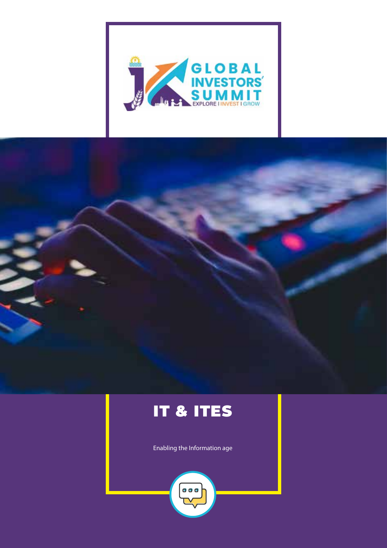



# IT & ITES

Enabling the Information age

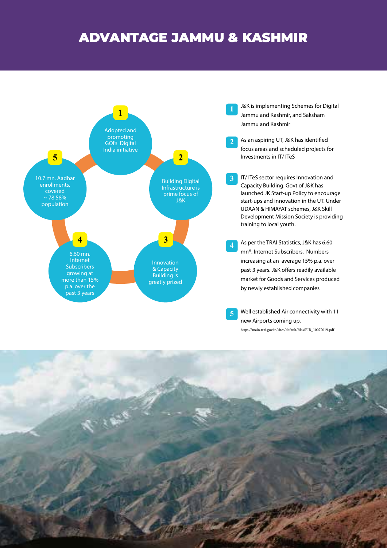## ADVANTAGE JAMMU & KASHMIR



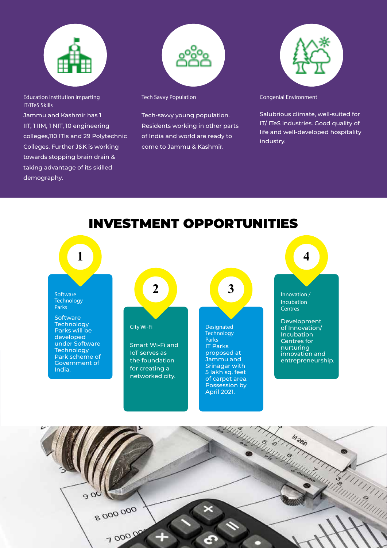

Education institution imparting IT/ITeS Skills

Jammu and Kashmir has 1 IIT, 1 IIM, 1 NIT, 10 engineering colleges,110 ITIs and 29 Polytechnic Colleges. Further J&K is working towards stopping brain drain & taking advantage of its skilled demography.



Tech Savvy Population

Tech-savvy young population. Residents working in other parts of India and world are ready to come to Jammu & Kashmir.



Congenial Environment

Salubrious climate, well-suited for IT/ ITeS industries. Good quality of life and well-developed hospitality industry.



### INVESTMENT OPPORTUNITIES

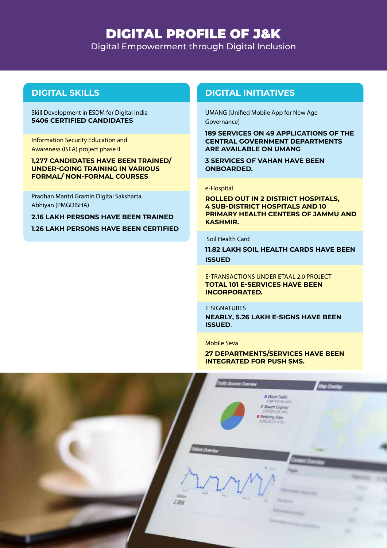### DIGITAL PROFILE OF J&K

Digital Empowerment through Digital Inclusion

#### Skill Development in ESDM for Digital India **5406 CERTIFIED CANDIDATES**

Information Security Education and Awareness (ISEA) project phase II

### **1,277 CANDIDATES HAVE BEEN TRAINED/ UNDER-GOING TRAINING IN VARIOUS FORMAL/ NON-FORMAL COURSES**

Pradhan Mantri Gramin Digital Saksharta Abhiyan (PMGDISHA)

**2.16 LAKH PERSONS HAVE BEEN TRAINED 1.26 LAKH PERSONS HAVE BEEN CERTIFIED**

### **DIGITAL SKILLS DIGITAL INITIATIVES**

UMANG (Unified Mobile App for New Age Governance)

**189 SERVICES ON 49 APPLICATIONS OF THE CENTRAL GOVERNMENT DEPARTMENTS ARE AVAILABLE ON UMANG** 

**3 SERVICES OF VAHAN HAVE BEEN ONBOARDED.**

#### e-Hospital

**ROLLED OUT IN 2 DISTRICT HOSPITALS, 4 SUB-DISTRICT HOSPITALS AND 10 PRIMARY HEALTH CENTERS OF JAMMU AND KASHMIR.** 

#### Soil Health Card

**11.82 LAKH SOIL HEALTH CARDS HAVE BEEN ISSUED**

E-TRANSACTIONS UNDER ETAAL 2.0 PROJECT **TOTAL 101 E-SERVICES HAVE BEEN INCORPORATED.**

#### E-SIGNATURES

**NEARLY, 5.26 LAKH E-SIGNS HAVE BEEN ISSUED**.

#### Mobile Seva

**27 DEPARTMENTS/SERVICES HAVE BEEN INTEGRATED FOR PUSH SMS.**

|                                     | <b>Sources Chevriew</b><br>$\begin{array}{l} \textit{ar} \ \textit{Direct} \ \textit{That} \ \textit{f} \ \textit{right} \\ 1.097 \, \langle 0 \rangle \, \langle 42.48 \gamma \rangle \end{array}$<br>Search Engines<br><b>E Referring Steel</b> | May Chantage |
|-------------------------------------|---------------------------------------------------------------------------------------------------------------------------------------------------------------------------------------------------------------------------------------------------|--------------|
| <b>Arx</b>                          | <b>Situs Overview</b><br><b>County</b><br>Œ                                                                                                                                                                                                       |              |
| Non.<br>$\frac{100\sigma g}{2,958}$ | Me7<br><b>Maria</b><br>۰<br>the company of the local company                                                                                                                                                                                      | ÷            |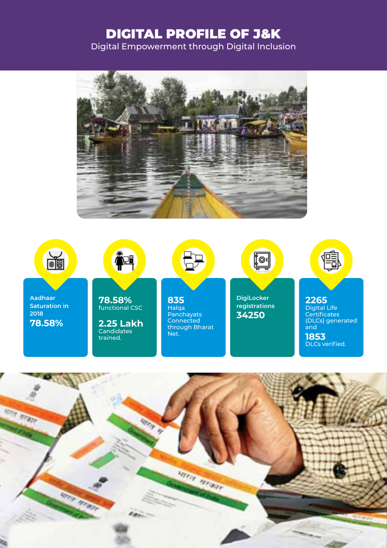# DIGITAL PROFILE OF J&K

Digital Empowerment through Digital Inclusion





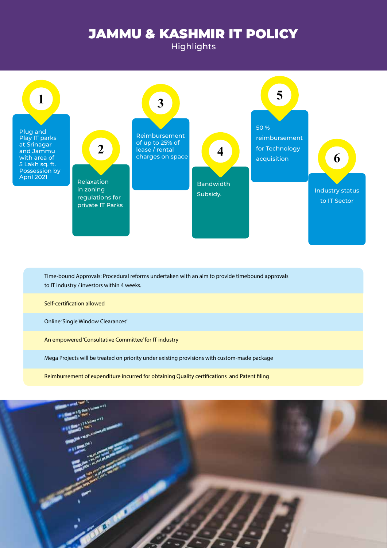### JAMMU & KASHMIR IT POLICY

**Highlights** 

Plug and Play IT parks at Srinagar and Jammu with area of 5 Lakh sq. ft. Possession by

**1**



Time-bound Approvals: Procedural reforms undertaken with an aim to provide timebound approvals to IT industry / investors within 4 weeks.

Self-certification allowed

Online 'Single Window Clearances'

An empowered 'Consultative Committee' for IT industry

Mega Projects will be treated on priority under existing provisions with custom-made package

Reimbursement of expenditure incurred for obtaining Quality certifications and Patent filing

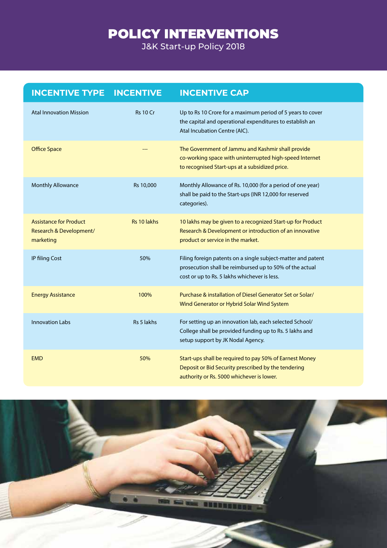# POLICY INTERVENTIONS

J&K Start-up Policy 2018

| <b>INCENTIVE TYPE INCENTIVE</b>                                       |                 | <b>INCENTIVE CAP</b>                                                                                                                                                    |
|-----------------------------------------------------------------------|-----------------|-------------------------------------------------------------------------------------------------------------------------------------------------------------------------|
| <b>Atal Innovation Mission</b>                                        | <b>Rs 10 Cr</b> | Up to Rs 10 Crore for a maximum period of 5 years to cover<br>the capital and operational expenditures to establish an<br>Atal Incubation Centre (AIC).                 |
| <b>Office Space</b>                                                   |                 | The Government of Jammu and Kashmir shall provide<br>co-working space with uninterrupted high-speed Internet<br>to recognised Start-ups at a subsidized price.          |
| <b>Monthly Allowance</b>                                              | Rs 10,000       | Monthly Allowance of Rs. 10,000 (for a period of one year)<br>shall be paid to the Start-ups (INR 12,000 for reserved<br>categories).                                   |
| <b>Assistance for Product</b><br>Research & Development/<br>marketing | Rs 10 lakhs     | 10 lakhs may be given to a recognized Start-up for Product<br>Research & Development or introduction of an innovative<br>product or service in the market.              |
| IP filing Cost                                                        | 50%             | Filing foreign patents on a single subject-matter and patent<br>prosecution shall be reimbursed up to 50% of the actual<br>cost or up to Rs. 5 lakhs whichever is less. |
| <b>Energy Assistance</b>                                              | 100%            | Purchase & installation of Diesel Generator Set or Solar/<br>Wind Generator or Hybrid Solar Wind System                                                                 |
| <b>Innovation Labs</b>                                                | Rs 5 lakhs      | For setting up an innovation lab, each selected School/<br>College shall be provided funding up to Rs. 5 lakhs and<br>setup support by JK Nodal Agency.                 |
| <b>EMD</b>                                                            | 50%             | Start-ups shall be required to pay 50% of Earnest Money<br>Deposit or Bid Security prescribed by the tendering<br>authority or Rs. 5000 whichever is lower.             |